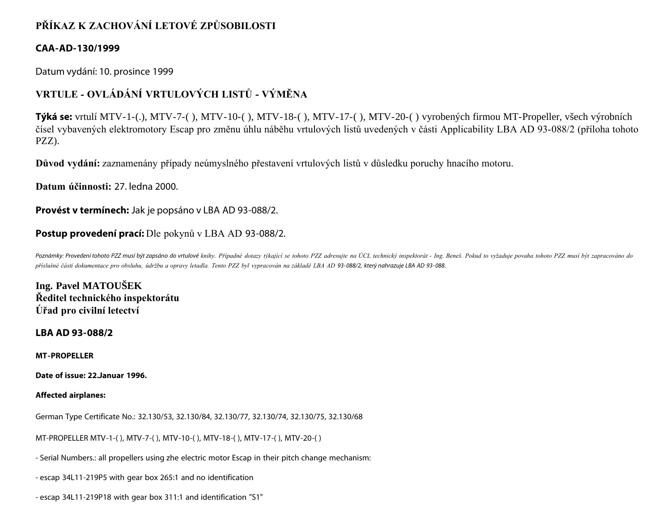## **PŘÍKAZ K ZACHOVÁNÍ LETOVÉ ZPŮSOBILOSTI**

## **CAA-AD-130/1999**

Datum vydání: 10. prosince 1999

# **VRTULE - OVLÁDÁNÍ VRTULOVÝCH LISTŮ - VÝMĚNA**

**Týká se:** vrtulí MTV-1-(.), MTV-7-( ), MTV-10-( ), MTV-18-( ), MTV-17-( ), MTV-20-( ) vyrobených firmou MT-Propeller, všech výrobních čísel vybavených elektromotory Escap pro změnu úhlu náběhu vrtulových listů uvedených v části Applicability LBA AD 93-088/2 (příloha tohoto PZZ).

**Důvod vydání:** zaznamenány případy neúmyslného přestavení vrtulových listů v důsledku poruchy hnacího motoru.

**Datum účinnosti:** 27. ledna 2000.

**Provést v termínech:** Jak je popsáno v LBA AD 93-088/2.

## **Postup provedení prací:** Dle pokynů v LBA AD 93-088/2.

Poznámky: Provedení tohoto PZZ musí být zapsáno do vrtulové knihy. Případné dotazy týkající se tohoto PZZ adresujte na ÚCL technický inspektorát - Ing. Beneš. Pokud to vyžaduje povaha tohoto PZZ musí být zapracováno do *příslušné části dokumentace pro obsluhu, údržbu a opravy letadla. Tento PZZ byl vypracován na základě LBA AD 93- 088/2, který nahrazuje LBA AD 93- 088.*

**Ing. Pavel MATOUŠEK Ředitel technického inspektorátu Úřad pro civilní letectví**

### **LBA AD 93-088/2**

**MT-PROPELLER**

**Date of issue: 22.Januar 1996.**

#### **Affected airplanes:**

German Type Certificate No.: 32.130/53, 32.130/84, 32.130/77, 32.130/74, 32.130/75, 32.130/68

MT-PROPELLER MTV-1-( ), MTV-7-( ), MTV-10-( ), MTV-18-( ), MTV-17-( ), MTV-20-( )

- Serial Numbers.: all propellers using zhe electric motor Escap in their pitch change mechanism:

- escap 34L11-219P5 with gear box 265:1 and no identification

- escap 34L11-219P18 with gear box 311:1 and identification "S1"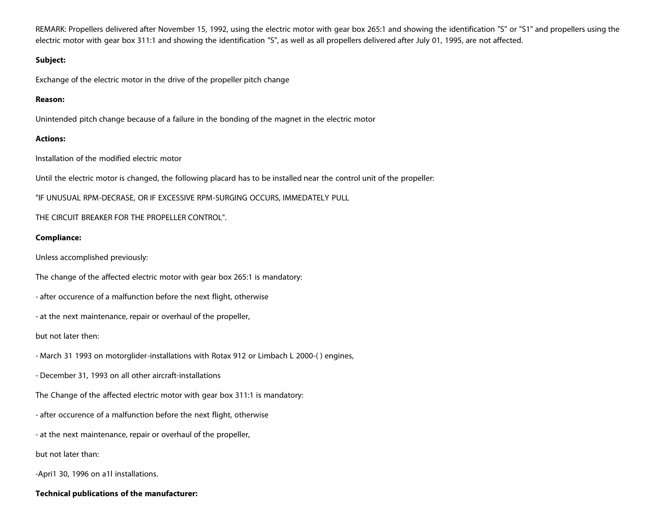REMARK: Propellers delivered after November 15, 1992, using the electric motor with gear box 265:1 and showing the identification "S" or "S1" and propellers using the electric motor with gear box 311:1 and showing the identification "S", as well as all propellers delivered after July 01, 1995, are not affected.

#### **Subject:**

Exchange of the electric motor in the drive of the propeller pitch change

#### **Reason:**

Unintended pitch change because of a failure in the bonding of the magnet in the electric motor

#### **Actions:**

Installation of the modified electric motor

Until the electric motor is changed, the following placard has to be installed near the control unit of the propeller:

"IF UNUSUAL RPM-DECRASE, OR IF EXCESSIVE RPM-SURGING OCCURS, IMMEDATELY PULL

THE CIRCUIT BREAKER FOR THE PROPELLER CONTROL".

#### **Compliance:**

Unless accomplished previously:

The change of the affected electric motor with gear box 265:1 is mandatory:

- after occurence of a malfunction before the next flight, otherwise

- at the next maintenance, repair or overhaul of the propeller,

but not later then:

- March 31 1993 on motorglider-installations with Rotax 912 or Limbach L 2000-( ) engines,

- December 31, 1993 on all other aircraft-installations

The Change of the affected electric motor with gear box 311:1 is mandatory:

- after occurence of a malfunction before the next flight, otherwise

- at the next maintenance, repair or overhaul of the propeller,

but not later than:

-Apri1 30, 1996 on a1l installations.

#### **Technical publications of the manufacturer:**